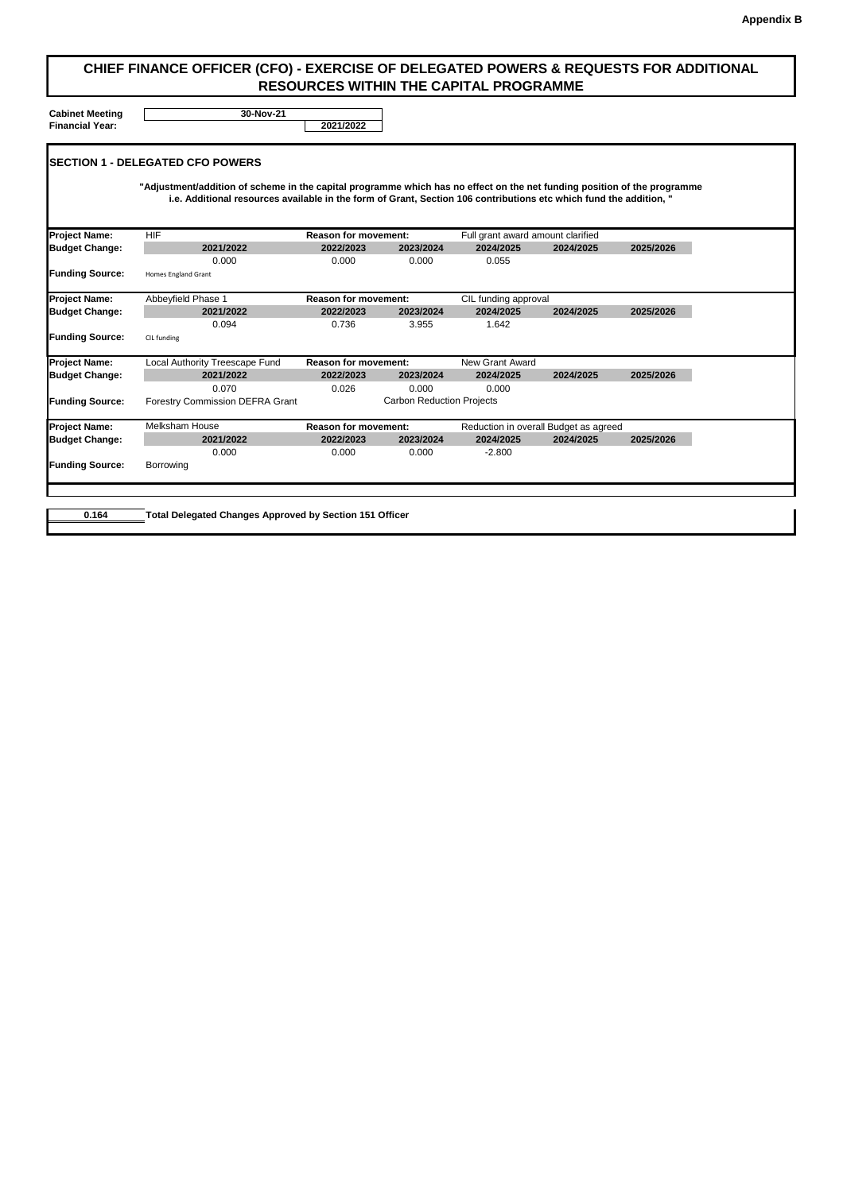**Cabinet Meeting Financial Year: 2021/2022**

|                        | <b>ISECTION 1 - DELEGATED CFO POWERS</b>                                                                                                                                                                                                       |                             |                                  |                                   |                                       |           |
|------------------------|------------------------------------------------------------------------------------------------------------------------------------------------------------------------------------------------------------------------------------------------|-----------------------------|----------------------------------|-----------------------------------|---------------------------------------|-----------|
|                        | "Adjustment/addition of scheme in the capital programme which has no effect on the net funding position of the programme<br>i.e. Additional resources available in the form of Grant, Section 106 contributions etc which fund the addition, " |                             |                                  |                                   |                                       |           |
| <b>Project Name:</b>   | <b>HIF</b>                                                                                                                                                                                                                                     | <b>Reason for movement:</b> |                                  | Full grant award amount clarified |                                       |           |
| <b>Budget Change:</b>  | 2021/2022                                                                                                                                                                                                                                      | 2022/2023                   | 2023/2024                        | 2024/2025                         | 2024/2025                             | 2025/2026 |
|                        | 0.000                                                                                                                                                                                                                                          | 0.000                       | 0.000                            | 0.055                             |                                       |           |
| <b>Funding Source:</b> | <b>Homes England Grant</b>                                                                                                                                                                                                                     |                             |                                  |                                   |                                       |           |
| <b>Project Name:</b>   | <b>Abbeyfield Phase 1</b>                                                                                                                                                                                                                      | <b>Reason for movement:</b> |                                  | CIL funding approval              |                                       |           |
| <b>Budget Change:</b>  | 2021/2022                                                                                                                                                                                                                                      | 2022/2023                   | 2023/2024                        | 2024/2025                         | 2024/2025                             | 2025/2026 |
|                        | 0.094                                                                                                                                                                                                                                          | 0.736                       | 3.955                            | 1.642                             |                                       |           |
| <b>Funding Source:</b> | CIL funding                                                                                                                                                                                                                                    |                             |                                  |                                   |                                       |           |
| <b>Project Name:</b>   | <b>Local Authority Treescape Fund</b>                                                                                                                                                                                                          | <b>Reason for movement:</b> |                                  | <b>New Grant Award</b>            |                                       |           |
| <b>Budget Change:</b>  | 2021/2022                                                                                                                                                                                                                                      | 2022/2023                   | 2023/2024                        | 2024/2025                         | 2024/2025                             | 2025/2026 |
|                        | 0.070                                                                                                                                                                                                                                          | 0.026                       | 0.000                            | 0.000                             |                                       |           |
| <b>Funding Source:</b> | <b>Forestry Commission DEFRA Grant</b>                                                                                                                                                                                                         |                             | <b>Carbon Reduction Projects</b> |                                   |                                       |           |
| <b>Project Name:</b>   | <b>Melksham House</b>                                                                                                                                                                                                                          | <b>Reason for movement:</b> |                                  |                                   | Reduction in overall Budget as agreed |           |
| <b>Budget Change:</b>  | 2021/2022                                                                                                                                                                                                                                      | 2022/2023                   | 2023/2024                        | 2024/2025                         | 2024/2025                             | 2025/2026 |
|                        | 0.000                                                                                                                                                                                                                                          | 0.000                       | 0.000                            | $-2.800$                          |                                       |           |
| <b>Funding Source:</b> | <b>Borrowing</b>                                                                                                                                                                                                                               |                             |                                  |                                   |                                       |           |

**0.164 Total Delegated Changes Approved by Section 151 Officer**

## **CHIEF FINANCE OFFICER (CFO) - EXERCISE OF DELEGATED POWERS & REQUESTS FOR ADDITIONAL RESOURCES WITHIN THE CAPITAL PROGRAMME**

**30-Nov-21**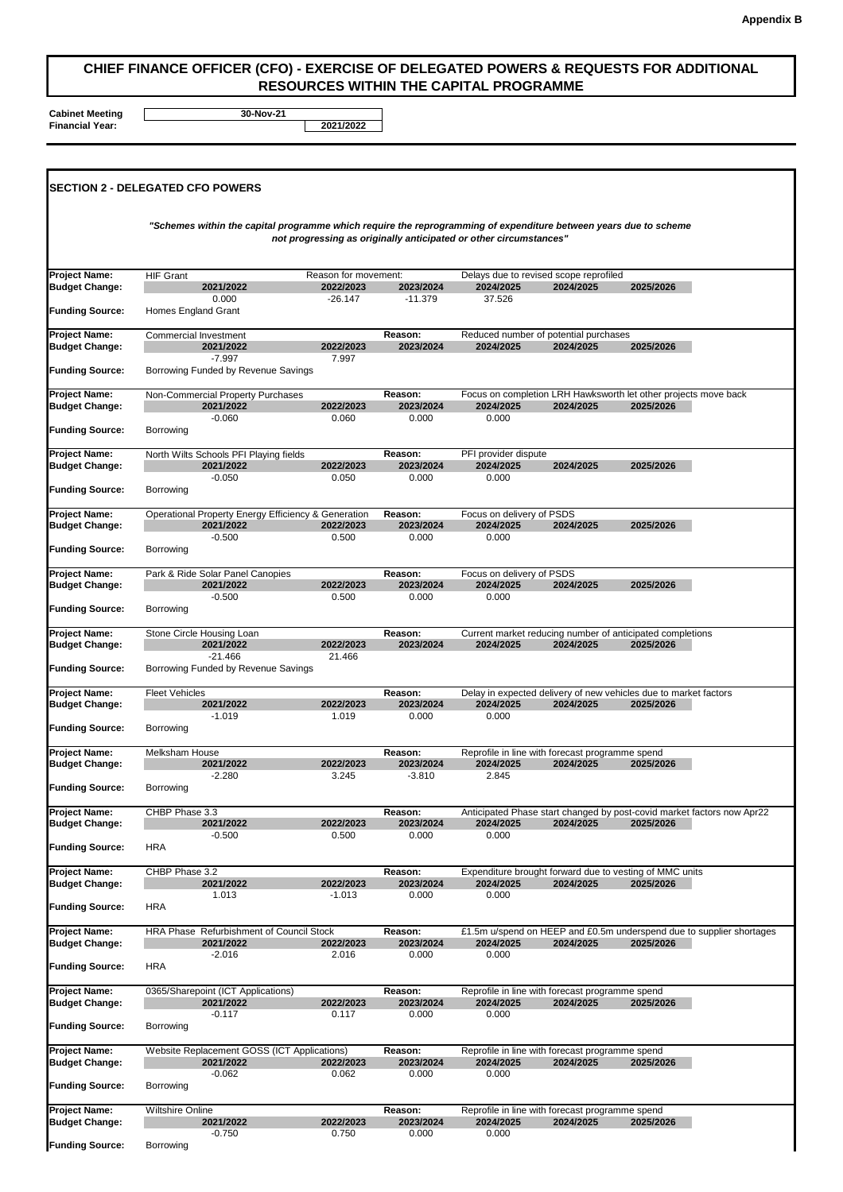**Cabinet Meeting Financial Year: 2021/2022**

## **CHIEF FINANCE OFFICER (CFO) - EXERCISE OF DELEGATED POWERS & REQUESTS FOR ADDITIONAL RESOURCES WITHIN THE CAPITAL PROGRAMME**

**30-Nov-21**

| <b>Project Name:</b><br><b>Budget Change:</b><br><b>Funding Source:</b> | <b>HIF Grant</b>                            |                                                                                                                                                                                       |                                                |                                         |                                                                                        |           |           |                                                                      |  |  |
|-------------------------------------------------------------------------|---------------------------------------------|---------------------------------------------------------------------------------------------------------------------------------------------------------------------------------------|------------------------------------------------|-----------------------------------------|----------------------------------------------------------------------------------------|-----------|-----------|----------------------------------------------------------------------|--|--|
|                                                                         |                                             | "Schemes within the capital programme which require the reprogramming of expenditure between years due to scheme<br>not progressing as originally anticipated or other circumstances" |                                                |                                         |                                                                                        |           |           |                                                                      |  |  |
|                                                                         | Homes England Grant                         | 2021/2022<br>0.000                                                                                                                                                                    | Reason for movement:<br>2022/2023<br>$-26.147$ | 2023/2024<br>$-11.379$                  | Delays due to revised scope reprofiled<br>2024/2025<br>37.526                          | 2024/2025 | 2025/2026 |                                                                      |  |  |
| <b>Project Name:</b>                                                    | <b>Commercial Investment</b>                |                                                                                                                                                                                       |                                                | <b>Reason:</b>                          | Reduced number of potential purchases                                                  |           |           |                                                                      |  |  |
| <b>Budget Change:</b><br><b>Funding Source:</b>                         |                                             | 2021/2022<br>$-7.997$<br>Borrowing Funded by Revenue Savings                                                                                                                          | 2022/2023<br>7.997                             | 2023/2024                               | 2024/2025                                                                              | 2024/2025 | 2025/2026 |                                                                      |  |  |
| <b>Project Name:</b><br><b>Budget Change:</b>                           |                                             | <b>Non-Commercial Property Purchases</b><br>2021/2022                                                                                                                                 | 2022/2023                                      | Reason:<br>2023/2024                    | Focus on completion LRH Hawksworth let other projects move back<br>2024/2025           | 2024/2025 | 2025/2026 |                                                                      |  |  |
| <b>Funding Source:</b>                                                  | <b>Borrowing</b>                            | $-0.060$                                                                                                                                                                              | 0.060                                          | 0.000                                   | 0.000                                                                                  |           |           |                                                                      |  |  |
| <b>Project Name:</b><br><b>Budget Change:</b>                           |                                             | North Wilts Schools PFI Playing fields<br>2021/2022<br>$-0.050$                                                                                                                       | 2022/2023<br>0.050                             | Reason:<br>2023/2024<br>0.000           | PFI provider dispute<br>2024/2025<br>0.000                                             | 2024/2025 | 2025/2026 |                                                                      |  |  |
| <b>Funding Source:</b>                                                  | <b>Borrowing</b>                            |                                                                                                                                                                                       |                                                |                                         |                                                                                        |           |           |                                                                      |  |  |
| <b>Project Name:</b><br><b>Budget Change:</b>                           |                                             | <b>Operational Property Energy Efficiency &amp; Generation</b><br>2021/2022<br>$-0.500$                                                                                               | 2022/2023<br>0.500                             | Reason:<br>2023/2024<br>0.000           | Focus on delivery of PSDS<br>2024/2025<br>0.000                                        | 2024/2025 | 2025/2026 |                                                                      |  |  |
| <b>Funding Source:</b>                                                  | <b>Borrowing</b>                            |                                                                                                                                                                                       |                                                |                                         |                                                                                        |           |           |                                                                      |  |  |
| <b>Project Name:</b><br><b>Budget Change:</b>                           |                                             | Park & Ride Solar Panel Canopies<br>2021/2022<br>$-0.500$                                                                                                                             | 2022/2023<br>0.500                             | <b>Reason:</b><br>2023/2024<br>0.000    | Focus on delivery of PSDS<br>2024/2025<br>0.000                                        | 2024/2025 | 2025/2026 |                                                                      |  |  |
| <b>Funding Source:</b>                                                  | <b>Borrowing</b>                            |                                                                                                                                                                                       |                                                |                                         |                                                                                        |           |           |                                                                      |  |  |
| <b>Project Name:</b><br><b>Budget Change:</b>                           |                                             | Stone Circle Housing Loan<br>2021/2022<br>$-21.466$                                                                                                                                   | 2022/2023<br>21.466                            | <b>Reason:</b><br>2023/2024             | Current market reducing number of anticipated completions<br>2024/2025                 | 2024/2025 | 2025/2026 |                                                                      |  |  |
| <b>Funding Source:</b>                                                  | Borrowing Funded by Revenue Savings         |                                                                                                                                                                                       |                                                |                                         |                                                                                        |           |           |                                                                      |  |  |
| <b>Project Name:</b><br><b>Budget Change:</b>                           | <b>Fleet Vehicles</b>                       | 2021/2022<br>$-1.019$                                                                                                                                                                 | 2022/2023<br>1.019                             | <b>Reason:</b><br>2023/2024<br>0.000    | Delay in expected delivery of new vehicles due to market factors<br>2024/2025<br>0.000 | 2024/2025 | 2025/2026 |                                                                      |  |  |
| <b>Funding Source:</b>                                                  | <b>Borrowing</b>                            |                                                                                                                                                                                       |                                                |                                         |                                                                                        |           |           |                                                                      |  |  |
| <b>Project Name:</b><br><b>Budget Change:</b><br><b>Funding Source:</b> | <b>Melksham House</b><br><b>Borrowing</b>   | 2021/2022<br>$-2.280$                                                                                                                                                                 | 2022/2023<br>3.245                             | <b>Reason:</b><br>2023/2024<br>$-3.810$ | Reprofile in line with forecast programme spend<br>2024/2025<br>2.845                  | 2024/2025 | 2025/2026 |                                                                      |  |  |
| <b>Project Name:</b>                                                    | CHBP Phase 3.3                              |                                                                                                                                                                                       |                                                | <b>Reason:</b>                          | Anticipated Phase start changed by post-covid market factors now Apr22                 |           |           |                                                                      |  |  |
| <b>Budget Change:</b><br><b>Funding Source:</b>                         | <b>HRA</b>                                  | 2021/2022<br>$-0.500$                                                                                                                                                                 | 2022/2023<br>0.500                             | 2023/2024<br>0.000                      | 2024/2025<br>0.000                                                                     | 2024/2025 | 2025/2026 |                                                                      |  |  |
| <b>Project Name:</b><br><b>Budget Change:</b>                           | CHBP Phase 3.2                              | 2021/2022                                                                                                                                                                             | 2022/2023                                      | Reason:<br>2023/2024                    | Expenditure brought forward due to vesting of MMC units<br>2024/2025                   | 2024/2025 | 2025/2026 |                                                                      |  |  |
| <b>Funding Source:</b>                                                  | <b>HRA</b>                                  | 1.013                                                                                                                                                                                 | $-1.013$                                       | 0.000                                   | 0.000                                                                                  |           |           |                                                                      |  |  |
| <b>Project Name:</b><br><b>Budget Change:</b>                           |                                             | HRA Phase Refurbishment of Council Stock<br>2021/2022<br>$-2.016$                                                                                                                     | 2022/2023                                      | <b>Reason:</b><br>2023/2024             | 2024/2025                                                                              | 2024/2025 | 2025/2026 | £1.5m u/spend on HEEP and £0.5m underspend due to supplier shortages |  |  |
| <b>Funding Source:</b>                                                  | <b>HRA</b>                                  |                                                                                                                                                                                       | 2.016                                          | 0.000                                   | 0.000                                                                                  |           |           |                                                                      |  |  |
| <b>Project Name:</b><br><b>Budget Change:</b>                           |                                             | 0365/Sharepoint (ICT Applications)<br>2021/2022<br>$-0.117$                                                                                                                           | 2022/2023<br>0.117                             | <b>Reason:</b><br>2023/2024<br>0.000    | Reprofile in line with forecast programme spend<br>2024/2025<br>0.000                  | 2024/2025 | 2025/2026 |                                                                      |  |  |
| <b>Funding Source:</b>                                                  | <b>Borrowing</b>                            |                                                                                                                                                                                       |                                                |                                         |                                                                                        |           |           |                                                                      |  |  |
| <b>Project Name:</b><br><b>Budget Change:</b>                           |                                             | <b>Website Replacement GOSS (ICT Applications)</b><br>2021/2022<br>$-0.062$                                                                                                           | 2022/2023<br>0.062                             | Reason:<br>2023/2024<br>0.000           | Reprofile in line with forecast programme spend<br>2024/2025<br>0.000                  | 2024/2025 | 2025/2026 |                                                                      |  |  |
| <b>Funding Source:</b>                                                  | Borrowing                                   |                                                                                                                                                                                       |                                                |                                         |                                                                                        |           |           |                                                                      |  |  |
| <b>Project Name:</b><br><b>Budget Change:</b><br><b>Funding Source:</b> | <b>Wiltshire Online</b><br><b>Borrowing</b> | 2021/2022<br>$-0.750$                                                                                                                                                                 | 2022/2023<br>0.750                             | <b>Reason:</b><br>2023/2024<br>0.000    | Reprofile in line with forecast programme spend<br>2024/2025<br>0.000                  | 2024/2025 | 2025/2026 |                                                                      |  |  |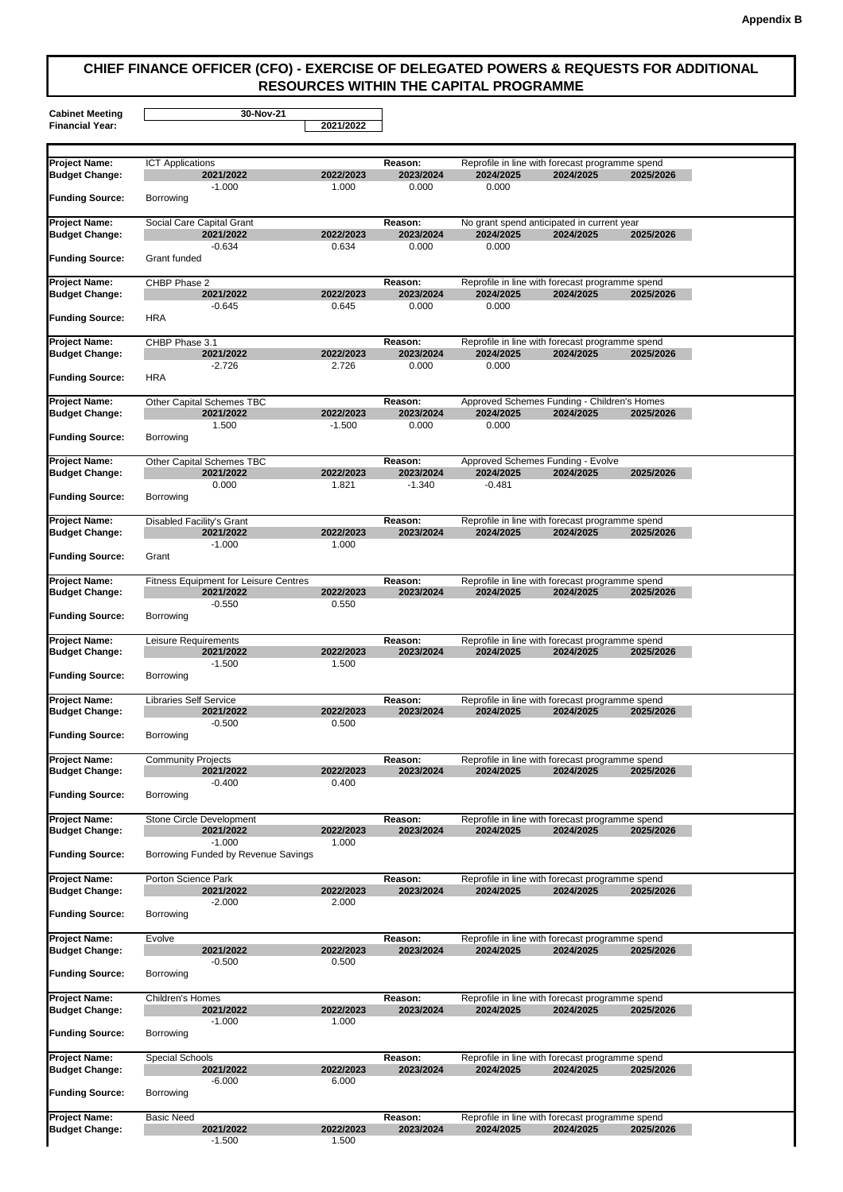**Cabinet Meeting**

**Financial Year: 2021/2022**

## **CHIEF FINANCE OFFICER (CFO) - EXERCISE OF DELEGATED POWERS & REQUESTS FOR ADDITIONAL RESOURCES WITHIN THE CAPITAL PROGRAMME**

**30-Nov-21**

| <b>Project Name:</b><br><b>Budget Change:</b>   | <b>ICT Applications</b>          | 2021/2022                                                             | 2022/2023             | <b>Reason:</b><br>2023/2024      | Reprofile in line with forecast programme spend<br>2024/2025          | 2024/2025 | 2025/2026 |
|-------------------------------------------------|----------------------------------|-----------------------------------------------------------------------|-----------------------|----------------------------------|-----------------------------------------------------------------------|-----------|-----------|
| <b>Funding Source:</b>                          | <b>Borrowing</b>                 | $-1.000$                                                              | 1.000                 | 0.000                            | 0.000                                                                 |           |           |
| <b>Project Name:</b><br><b>Budget Change:</b>   |                                  | <b>Social Care Capital Grant</b><br>2021/2022                         | 2022/2023             | <b>Reason:</b><br>2023/2024      | No grant spend anticipated in current year<br>2024/2025               | 2024/2025 | 2025/2026 |
| <b>Funding Source:</b>                          | <b>Grant funded</b>              | $-0.634$                                                              | 0.634                 | 0.000                            | 0.000                                                                 |           |           |
| <b>Project Name:</b><br><b>Budget Change:</b>   | <b>CHBP Phase 2</b>              | 2021/2022                                                             | 2022/2023             | Reason:<br>2023/2024             | Reprofile in line with forecast programme spend<br>2024/2025          | 2024/2025 | 2025/2026 |
| <b>Funding Source:</b>                          | <b>HRA</b>                       | $-0.645$                                                              | 0.645                 | 0.000                            | 0.000                                                                 |           |           |
| <b>Project Name:</b><br><b>Budget Change:</b>   | CHBP Phase 3.1                   | 2021/2022<br>$-2.726$                                                 | 2022/2023<br>2.726    | Reason:<br>2023/2024<br>0.000    | Reprofile in line with forecast programme spend<br>2024/2025<br>0.000 | 2024/2025 | 2025/2026 |
| <b>Funding Source:</b>                          | <b>HRA</b>                       |                                                                       |                       |                                  |                                                                       |           |           |
| <b>Project Name:</b>                            |                                  | <b>Other Capital Schemes TBC</b>                                      |                       | Reason:                          | Approved Schemes Funding - Children's Homes                           |           |           |
| <b>Budget Change:</b><br><b>Funding Source:</b> | <b>Borrowing</b>                 | 2021/2022<br>1.500                                                    | 2022/2023<br>$-1.500$ | 2023/2024<br>0.000               | 2024/2025<br>0.000                                                    | 2024/2025 | 2025/2026 |
|                                                 |                                  |                                                                       |                       |                                  |                                                                       |           |           |
| <b>Project Name:</b><br><b>Budget Change:</b>   |                                  | <b>Other Capital Schemes TBC</b><br>2021/2022<br>0.000                | 2022/2023<br>1.821    | Reason:<br>2023/2024<br>$-1.340$ | <b>Approved Schemes Funding - Evolve</b><br>2024/2025<br>$-0.481$     | 2024/2025 | 2025/2026 |
| <b>Funding Source:</b>                          | <b>Borrowing</b>                 |                                                                       |                       |                                  |                                                                       |           |           |
| <b>Project Name:</b><br><b>Budget Change:</b>   | <b>Disabled Facility's Grant</b> | 2021/2022<br>$-1.000$                                                 | 2022/2023<br>1.000    | <b>Reason:</b><br>2023/2024      | Reprofile in line with forecast programme spend<br>2024/2025          | 2024/2025 | 2025/2026 |
| <b>Funding Source:</b>                          | Grant                            |                                                                       |                       |                                  |                                                                       |           |           |
| <b>Project Name:</b><br><b>Budget Change:</b>   |                                  | <b>Fitness Equipment for Leisure Centres</b><br>2021/2022<br>$-0.550$ | 2022/2023<br>0.550    | <b>Reason:</b><br>2023/2024      | Reprofile in line with forecast programme spend<br>2024/2025          | 2024/2025 | 2025/2026 |
| <b>Funding Source:</b>                          | Borrowing                        |                                                                       |                       |                                  |                                                                       |           |           |
| <b>Project Name:</b><br><b>Budget Change:</b>   | Leisure Requirements             | 2021/2022<br>$-1.500$                                                 | 2022/2023<br>1.500    | <b>Reason:</b><br>2023/2024      | Reprofile in line with forecast programme spend<br>2024/2025          | 2024/2025 | 2025/2026 |
| <b>Funding Source:</b>                          | <b>Borrowing</b>                 |                                                                       |                       |                                  |                                                                       |           |           |
| <b>Project Name:</b><br><b>Budget Change:</b>   | <b>Libraries Self Service</b>    | 2021/2022<br>$-0.500$                                                 | 2022/2023<br>0.500    | Reason:<br>2023/2024             | Reprofile in line with forecast programme spend<br>2024/2025          | 2024/2025 | 2025/2026 |
| <b>Funding Source:</b>                          | <b>Borrowing</b>                 |                                                                       |                       |                                  |                                                                       |           |           |
| <b>Project Name:</b><br><b>Budget Change:</b>   | <b>Community Projects</b>        | 2021/2022<br>$-0.400$                                                 | 2022/2023<br>0.400    | Reason:<br>2023/2024             | Reprofile in line with forecast programme spend<br>2024/2025          | 2024/2025 | 2025/2026 |
| <b>Funding Source:</b>                          | <b>Borrowing</b>                 |                                                                       |                       |                                  |                                                                       |           |           |
| <b>Project Name:</b><br><b>Budget Change:</b>   |                                  | <b>Stone Circle Development</b><br>2021/2022<br>$-1.000$              | 2022/2023<br>1.000    | <b>Reason:</b><br>2023/2024      | Reprofile in line with forecast programme spend<br>2024/2025          | 2024/2025 | 2025/2026 |
| <b>Funding Source:</b>                          |                                  | Borrowing Funded by Revenue Savings                                   |                       |                                  |                                                                       |           |           |
| <b>Project Name:</b><br><b>Budget Change:</b>   | <b>Porton Science Park</b>       | 2021/2022<br>$-2.000$                                                 | 2022/2023<br>2.000    | Reason:<br>2023/2024             | Reprofile in line with forecast programme spend<br>2024/2025          | 2024/2025 | 2025/2026 |
| <b>Funding Source:</b>                          | <b>Borrowing</b>                 |                                                                       |                       |                                  |                                                                       |           |           |
| <b>Project Name:</b><br><b>Budget Change:</b>   | Evolve                           | 2021/2022<br>$-0.500$                                                 | 2022/2023<br>0.500    | Reason:<br>2023/2024             | Reprofile in line with forecast programme spend<br>2024/2025          | 2024/2025 | 2025/2026 |
| <b>Funding Source:</b>                          | <b>Borrowing</b>                 |                                                                       |                       |                                  |                                                                       |           |           |
| <b>Project Name:</b><br><b>Budget Change:</b>   | <b>Children's Homes</b>          | 2021/2022<br>$-1.000$                                                 | 2022/2023<br>1.000    | Reason:<br>2023/2024             | Reprofile in line with forecast programme spend<br>2024/2025          | 2024/2025 | 2025/2026 |
| <b>Funding Source:</b>                          | <b>Borrowing</b>                 |                                                                       |                       |                                  |                                                                       |           |           |
| <b>Project Name:</b><br><b>Budget Change:</b>   | <b>Special Schools</b>           | 2021/2022<br>$-6.000$                                                 | 2022/2023<br>6.000    | Reason:<br>2023/2024             | Reprofile in line with forecast programme spend<br>2024/2025          | 2024/2025 | 2025/2026 |
| <b>Funding Source:</b>                          | <b>Borrowing</b>                 |                                                                       |                       |                                  |                                                                       |           |           |
| <b>Project Name:</b><br><b>Budget Change:</b>   | <b>Basic Need</b>                | 2021/2022<br>$-1.500$                                                 | 2022/2023<br>1.500    | Reason:<br>2023/2024             | Reprofile in line with forecast programme spend<br>2024/2025          | 2024/2025 | 2025/2026 |